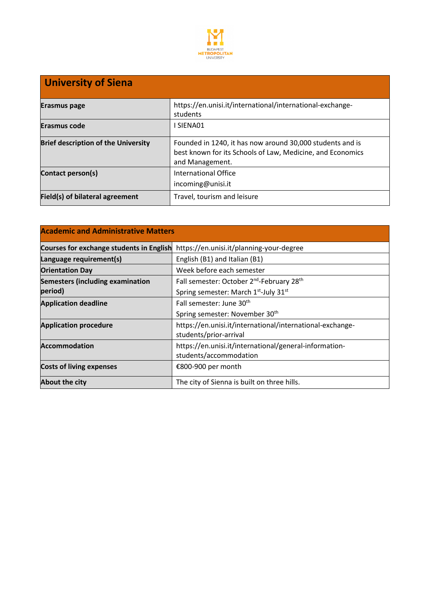

## **University of Siena Erasmus page** https://en.unisi.it/international/international-exchangestudents **Erasmus code I SIENA01 Brief description of the University** Founded in 1240, it has now around 30,000 students and is best known for its Schools of Law, Medicine, and Economics and Management. **Contact person(s)** International Office incoming@unisi.it **Field(s) of bilateral agreement** Travel, tourism and leisure

| <b>Academic and Administrative Matters</b>      |                                                                                     |
|-------------------------------------------------|-------------------------------------------------------------------------------------|
| <b>Courses for exchange students in English</b> | https://en.unisi.it/planning-your-degree                                            |
| Language requirement(s)                         | English (B1) and Italian (B1)                                                       |
| <b>Orientation Day</b>                          | Week before each semester                                                           |
| <b>Semesters (including examination</b>         | Fall semester: October 2 <sup>nd</sup> -February 28 <sup>th</sup>                   |
| period)                                         | Spring semester: March 1st-July 31st                                                |
| <b>Application deadline</b>                     | Fall semester: June 30 <sup>th</sup>                                                |
|                                                 | Spring semester: November 30 <sup>th</sup>                                          |
| <b>Application procedure</b>                    | https://en.unisi.it/international/international-exchange-<br>students/prior-arrival |
| <b>Accommodation</b>                            | https://en.unisi.it/international/general-information-<br>students/accommodation    |
| <b>Costs of living expenses</b>                 | €800-900 per month                                                                  |
| <b>About the city</b>                           | The city of Sienna is built on three hills.                                         |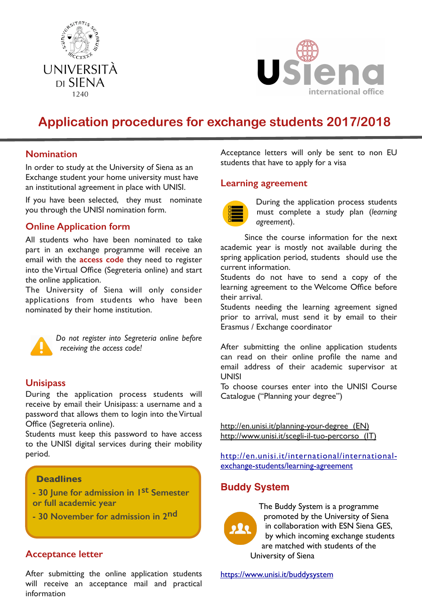



# **Application procedures for exchange students 2017/2018**

## **Nomination**

In order to study at the University of Siena as an Exchange student your home university must have an institutional agreement in place with UNISI.

If you have been selected, they must nominate you through the UNISI nomination form.

## **Online Application form**

All students who have been nominated to take part in an exchange programme will receive an email with the **access code** they need to register into the Virtual Office (Segreteria online) and start the online application.

The University of Siena will only consider applications from students who have been nominated by their home institution.



*Do not register into Segreteria online before receiving the access code!*

## **Unisipass**

During the application process students will receive by email their Unisipass: a username and a password that allows them to login into the Virtual Office (Segreteria online).

Students must keep this password to have access to the UNISI digital services during their mobility period.

#### **Deadlines**

**- 30 June for admission in 1st Semester or full academic year** 

**- 30 November for admission in 2nd**

## **Acceptance letter**

After submitting the online application students will receive an acceptance mail and practical information

Acceptance letters will only be sent to non EU students that have to apply for a visa

### **Learning agreement**



During the application process students must complete a study plan (*learning agreement*).

Since the course information for the next academic year is mostly not available during the spring application period, students should use the current information.

Students do not have to send a copy of the learning agreement to the Welcome Office before their arrival.

Students needing the learning agreement signed prior to arrival, must send it by email to their Erasmus / Exchange coordinator

After submitting the online application students can read on their online profile the name and email address of their academic supervisor at **UNISI** 

To choose courses enter into the UNISI Course Catalogue ("Planning your degree")

<http://en.unisi.it/planning-your-degree>(EN) <http://www.unisi.it/scegli-il-tuo-percorso> (IT)

[http://en.unisi.it/international/international](http://en.unisi.it/international/international-exchange-students/learning-agreement)[exchange-students/learning-agreement](http://en.unisi.it/international/international-exchange-students/learning-agreement)

## **Buddy System**



The Buddy System is a programme promoted by the University of Siena in collaboration with ESN Siena GES, by which incoming exchange students are matched with students of the University of Siena

<https://www.unisi.it/buddysystem>